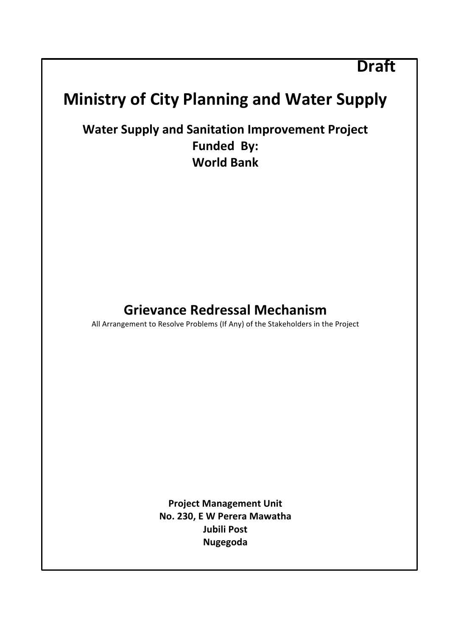# **Draft**

# **Ministry of City Planning and Water Supply**

**Water Supply and Sanitation Improvement Project** Funded By: **World Bank**

# **Grievance Redressal Mechanism**

All Arrangement to Resolve Problems (If Any) of the Stakeholders in the Project

**Project Management Unit No. 230, E W Perera Mawatha Jubili Post Nugegoda**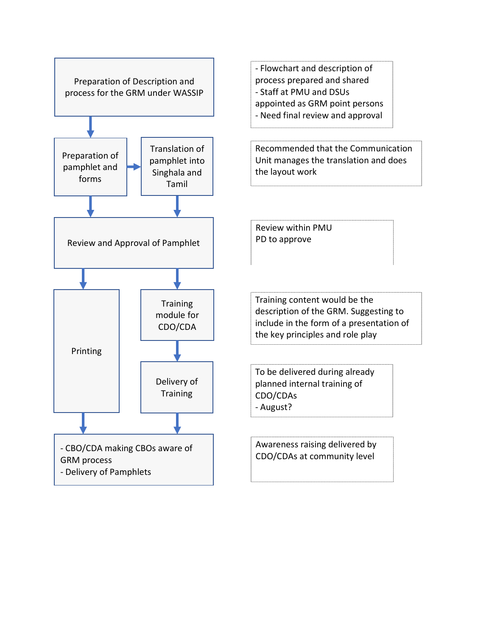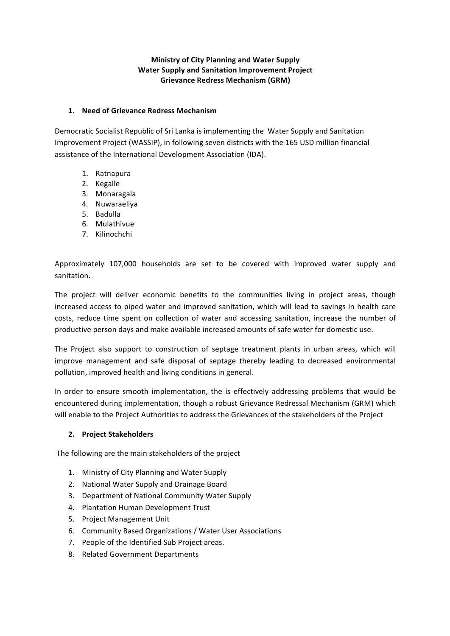#### **Ministry of City Planning and Water Supply Water Supply and Sanitation Improvement Project Grievance Redress Mechanism (GRM)**

#### 1. **Need of Grievance Redress Mechanism**

Democratic Socialist Republic of Sri Lanka is implementing the Water Supply and Sanitation Improvement Project (WASSIP), in following seven districts with the 165 USD million financial assistance of the International Development Association (IDA).

- 1. Ratnapura
- 2. Kegalle
- 3. Monaragala
- 4. Nuwaraeliya
- 5. Badulla
- 6. Mulathivue
- 7. Kilinochchi

Approximately 107,000 households are set to be covered with improved water supply and sanitation.

The project will deliver economic benefits to the communities living in project areas, though increased access to piped water and improved sanitation, which will lead to savings in health care costs, reduce time spent on collection of water and accessing sanitation, increase the number of productive person days and make available increased amounts of safe water for domestic use.

The Project also support to construction of septage treatment plants in urban areas, which will improve management and safe disposal of septage thereby leading to decreased environmental pollution, improved health and living conditions in general.

In order to ensure smooth implementation, the is effectively addressing problems that would be encountered during implementation, though a robust Grievance Redressal Mechanism (GRM) which will enable to the Project Authorities to address the Grievances of the stakeholders of the Project

#### **2.** Project Stakeholders

The following are the main stakeholders of the project

- 1. Ministry of City Planning and Water Supply
- 2. National Water Supply and Drainage Board
- 3. Department of National Community Water Supply
- 4. Plantation Human Development Trust
- 5. Project Management Unit
- 6. Community Based Organizations / Water User Associations
- 7. People of the Identified Sub Project areas.
- 8. Related Government Departments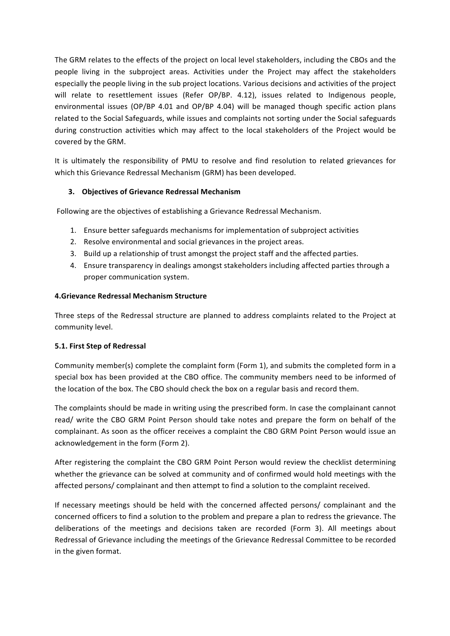The GRM relates to the effects of the project on local level stakeholders, including the CBOs and the people living in the subproject areas. Activities under the Project may affect the stakeholders especially the people living in the sub project locations. Various decisions and activities of the project will relate to resettlement issues (Refer OP/BP. 4.12), issues related to Indigenous people, environmental issues (OP/BP 4.01 and OP/BP 4.04) will be managed though specific action plans related to the Social Safeguards, while issues and complaints not sorting under the Social safeguards during construction activities which may affect to the local stakeholders of the Project would be covered by the GRM.

It is ultimately the responsibility of PMU to resolve and find resolution to related grievances for which this Grievance Redressal Mechanism (GRM) has been developed.

#### **3.** Objectives of Grievance Redressal Mechanism

Following are the objectives of establishing a Grievance Redressal Mechanism.

- 1. Ensure better safeguards mechanisms for implementation of subproject activities
- 2. Resolve environmental and social grievances in the project areas.
- 3. Build up a relationship of trust amongst the project staff and the affected parties.
- 4. Ensure transparency in dealings amongst stakeholders including affected parties through a proper communication system.

#### **4.Grievance Redressal Mechanism Structure**

Three steps of the Redressal structure are planned to address complaints related to the Project at community level.

#### **5.1. First Step of Redressal**

Community member(s) complete the complaint form (Form 1), and submits the completed form in a special box has been provided at the CBO office. The community members need to be informed of the location of the box. The CBO should check the box on a regular basis and record them.

The complaints should be made in writing using the prescribed form. In case the complainant cannot read/ write the CBO GRM Point Person should take notes and prepare the form on behalf of the complainant. As soon as the officer receives a complaint the CBO GRM Point Person would issue an acknowledgement in the form (Form 2).

After registering the complaint the CBO GRM Point Person would review the checklist determining whether the grievance can be solved at community and of confirmed would hold meetings with the affected persons/ complainant and then attempt to find a solution to the complaint received.

If necessary meetings should be held with the concerned affected persons/ complainant and the concerned officers to find a solution to the problem and prepare a plan to redress the grievance. The deliberations of the meetings and decisions taken are recorded (Form 3). All meetings about Redressal of Grievance including the meetings of the Grievance Redressal Committee to be recorded in the given format.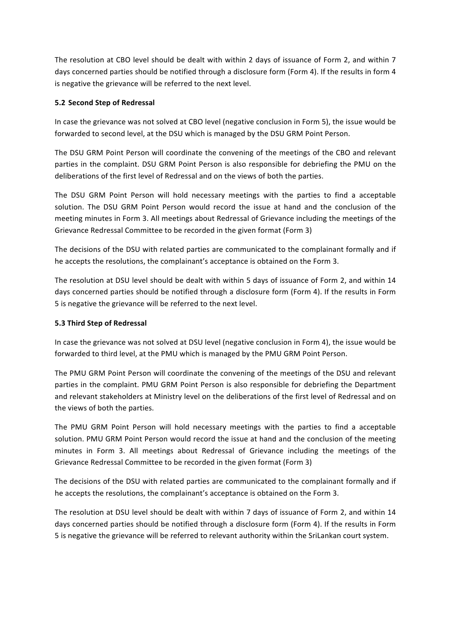The resolution at CBO level should be dealt with within 2 days of issuance of Form 2, and within 7 days concerned parties should be notified through a disclosure form (Form 4). If the results in form 4 is negative the grievance will be referred to the next level.

#### **5.2 Second Step of Redressal**

In case the grievance was not solved at CBO level (negative conclusion in Form 5), the issue would be forwarded to second level, at the DSU which is managed by the DSU GRM Point Person.

The DSU GRM Point Person will coordinate the convening of the meetings of the CBO and relevant parties in the complaint. DSU GRM Point Person is also responsible for debriefing the PMU on the deliberations of the first level of Redressal and on the views of both the parties.

The DSU GRM Point Person will hold necessary meetings with the parties to find a acceptable solution. The DSU GRM Point Person would record the issue at hand and the conclusion of the meeting minutes in Form 3. All meetings about Redressal of Grievance including the meetings of the Grievance Redressal Committee to be recorded in the given format (Form 3)

The decisions of the DSU with related parties are communicated to the complainant formally and if he accepts the resolutions, the complainant's acceptance is obtained on the Form 3.

The resolution at DSU level should be dealt with within 5 days of issuance of Form 2, and within 14 days concerned parties should be notified through a disclosure form (Form 4). If the results in Form 5 is negative the grievance will be referred to the next level.

#### **5.3 Third Step of Redressal**

In case the grievance was not solved at DSU level (negative conclusion in Form 4), the issue would be forwarded to third level, at the PMU which is managed by the PMU GRM Point Person.

The PMU GRM Point Person will coordinate the convening of the meetings of the DSU and relevant parties in the complaint. PMU GRM Point Person is also responsible for debriefing the Department and relevant stakeholders at Ministry level on the deliberations of the first level of Redressal and on the views of both the parties.

The PMU GRM Point Person will hold necessary meetings with the parties to find a acceptable solution. PMU GRM Point Person would record the issue at hand and the conclusion of the meeting minutes in Form 3. All meetings about Redressal of Grievance including the meetings of the Grievance Redressal Committee to be recorded in the given format (Form 3)

The decisions of the DSU with related parties are communicated to the complainant formally and if he accepts the resolutions, the complainant's acceptance is obtained on the Form 3.

The resolution at DSU level should be dealt with within 7 days of issuance of Form 2, and within 14 days concerned parties should be notified through a disclosure form (Form 4). If the results in Form 5 is negative the grievance will be referred to relevant authority within the SriLankan court system.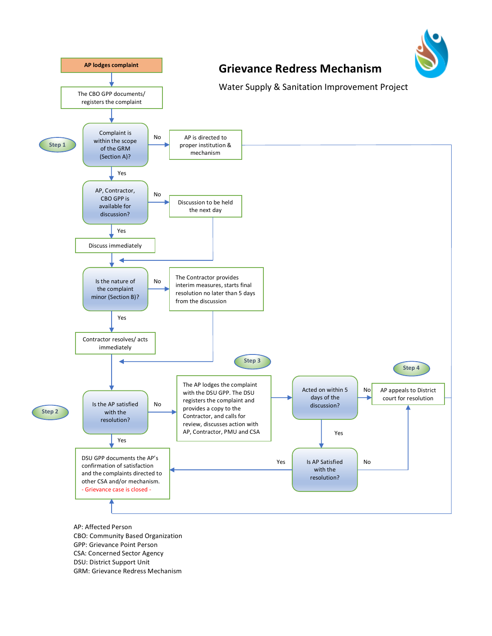

- GPP: Grievance Point Person
- CSA: Concerned Sector Agency
- DSU: District Support Unit
- GRM: Grievance Redress Mechanism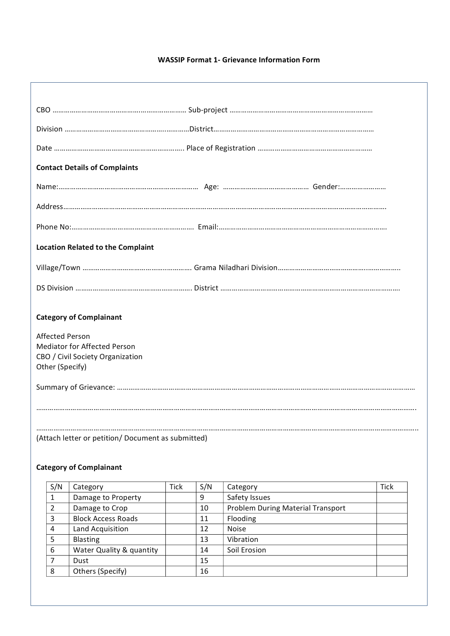#### **WASSIP Format 1- Grievance Information Form**

| <b>Contact Details of Complaints</b>                |  |
|-----------------------------------------------------|--|
|                                                     |  |
|                                                     |  |
|                                                     |  |
| <b>Location Related to the Complaint</b>            |  |
|                                                     |  |
|                                                     |  |
| <b>Category of Complainant</b>                      |  |
|                                                     |  |
| <b>Affected Person</b>                              |  |
| <b>Mediator for Affected Person</b>                 |  |
| CBO / Civil Society Organization<br>Other (Specify) |  |
|                                                     |  |
|                                                     |  |
|                                                     |  |
|                                                     |  |
| (Attach letter or petition/ Document as submitted)  |  |

## **Category of Complainant**

| S/N           | Category                  | <b>Tick</b> | S/N | Category                                 | <b>Tick</b> |
|---------------|---------------------------|-------------|-----|------------------------------------------|-------------|
|               | Damage to Property        |             | 9   | Safety Issues                            |             |
| $\mathcal{P}$ | Damage to Crop            |             | 10  | <b>Problem During Material Transport</b> |             |
| 3             | <b>Block Access Roads</b> |             | 11  | Flooding                                 |             |
| 4             | Land Acquisition          |             | 12  | <b>Noise</b>                             |             |
| 5             | Blasting                  |             | 13  | Vibration                                |             |
| 6             | Water Quality & quantity  |             | 14  | Soil Erosion                             |             |
| 7             | Dust                      |             | 15  |                                          |             |
| 8             | Others (Specify)          |             | 16  |                                          |             |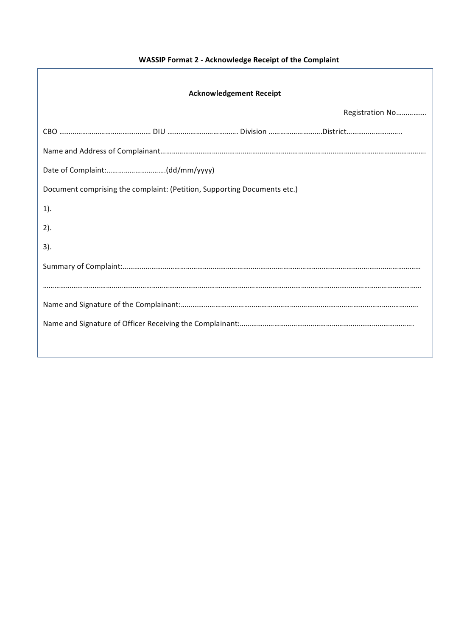# **WASSIP Format 2 - Acknowledge Receipt of the Complaint**

| <b>Acknowledgement Receipt</b>                                           |  |                 |  |  |
|--------------------------------------------------------------------------|--|-----------------|--|--|
|                                                                          |  | Registration No |  |  |
|                                                                          |  |                 |  |  |
|                                                                          |  |                 |  |  |
|                                                                          |  |                 |  |  |
| Document comprising the complaint: (Petition, Supporting Documents etc.) |  |                 |  |  |
| $1$ ).                                                                   |  |                 |  |  |
| 2).                                                                      |  |                 |  |  |
| 3).                                                                      |  |                 |  |  |
|                                                                          |  |                 |  |  |
|                                                                          |  |                 |  |  |
|                                                                          |  |                 |  |  |
|                                                                          |  |                 |  |  |
|                                                                          |  |                 |  |  |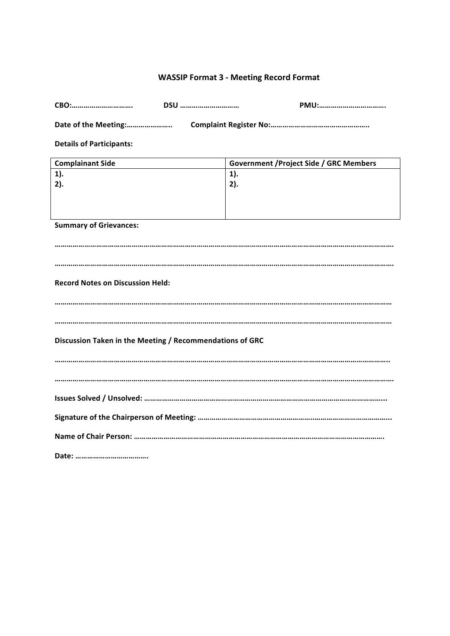## **WASSIP Format 3 - Meeting Record Format**

| CBO:<br>DSU                                              | PMU:                                           |  |  |
|----------------------------------------------------------|------------------------------------------------|--|--|
| Date of the Meeting:                                     |                                                |  |  |
| <b>Details of Participants:</b>                          |                                                |  |  |
| <b>Complainant Side</b>                                  | <b>Government / Project Side / GRC Members</b> |  |  |
| $1$ ).                                                   | $1$ ).                                         |  |  |
| 2).                                                      | 2).                                            |  |  |
|                                                          |                                                |  |  |
|                                                          |                                                |  |  |
| <b>Summary of Grievances:</b>                            |                                                |  |  |
|                                                          |                                                |  |  |
|                                                          |                                                |  |  |
|                                                          |                                                |  |  |
|                                                          |                                                |  |  |
| <b>Record Notes on Discussion Held:</b>                  |                                                |  |  |
|                                                          |                                                |  |  |
|                                                          |                                                |  |  |
|                                                          |                                                |  |  |
|                                                          |                                                |  |  |
| Discussion Taken in the Meeting / Recommendations of GRC |                                                |  |  |
|                                                          |                                                |  |  |
|                                                          |                                                |  |  |
|                                                          |                                                |  |  |
|                                                          |                                                |  |  |
|                                                          |                                                |  |  |
|                                                          |                                                |  |  |
|                                                          |                                                |  |  |
|                                                          |                                                |  |  |

**Date: ……………………………….**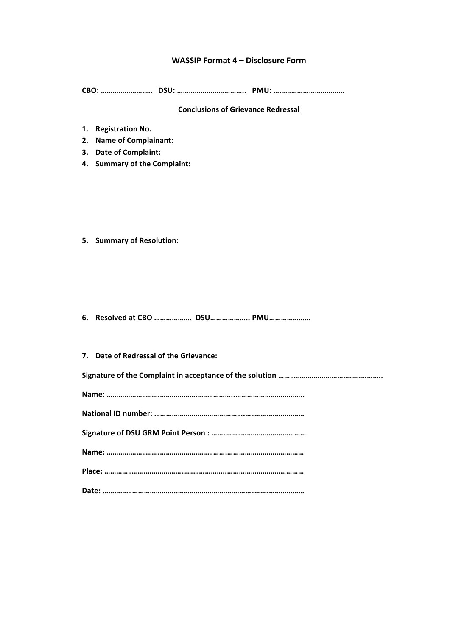#### **WASSIP Format 4 – Disclosure Form**

**CBO: …………………….. DSU: …………………………….. PMU: ………………………………**

## **Conclusions of Grievance Redressal**

- **1. Registration No.**
- **2. Name of Complainant:**
- **3. Date of Complaint:**
- **4. Summary of the Complaint:**

**5. Summary of Resolution:**

**6. Resolved at CBO ………………. DSU……………….. PMU…………………**

| 7. Date of Redressal of the Grievance: |
|----------------------------------------|
|                                        |
|                                        |
|                                        |
|                                        |
|                                        |
|                                        |
|                                        |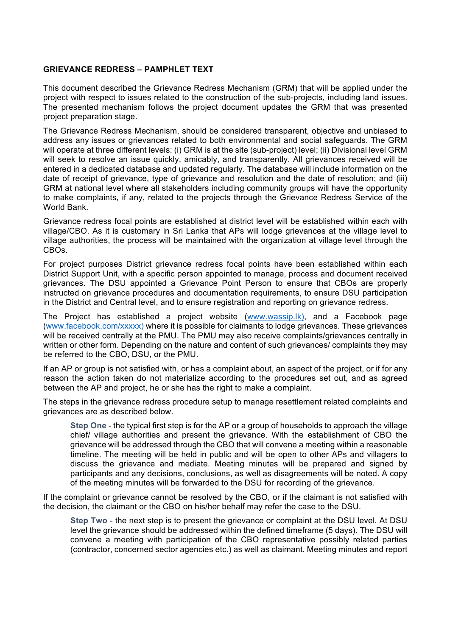#### **GRIEVANCE REDRESS – PAMPHLET TEXT**

This document described the Grievance Redress Mechanism (GRM) that will be applied under the project with respect to issues related to the construction of the sub-projects, including land issues. The presented mechanism follows the project document updates the GRM that was presented project preparation stage.

The Grievance Redress Mechanism, should be considered transparent, objective and unbiased to address any issues or grievances related to both environmental and social safeguards. The GRM will operate at three different levels: (i) GRM is at the site (sub-project) level; (ii) Divisional level GRM will seek to resolve an issue quickly, amicably, and transparently. All grievances received will be entered in a dedicated database and updated regularly. The database will include information on the date of receipt of grievance, type of grievance and resolution and the date of resolution; and (iii) GRM at national level where all stakeholders including community groups will have the opportunity to make complaints, if any, related to the projects through the Grievance Redress Service of the World Bank.

Grievance redress focal points are established at district level will be established within each with village/CBO. As it is customary in Sri Lanka that APs will lodge grievances at the village level to village authorities, the process will be maintained with the organization at village level through the CBOs.

For project purposes District grievance redress focal points have been established within each District Support Unit, with a specific person appointed to manage, process and document received grievances. The DSU appointed a Grievance Point Person to ensure that CBOs are properly instructed on grievance procedures and documentation requirements, to ensure DSU participation in the District and Central level, and to ensure registration and reporting on grievance redress.

The Project has established a project website (www.wassip.lk), and a Facebook page (www.facebook.com/xxxxx) where it is possible for claimants to lodge grievances. These grievances will be received centrally at the PMU. The PMU may also receive complaints/grievances centrally in written or other form. Depending on the nature and content of such grievances/ complaints they may be referred to the CBO, DSU, or the PMU.

If an AP or group is not satisfied with, or has a complaint about, an aspect of the project, or if for any reason the action taken do not materialize according to the procedures set out, and as agreed between the AP and project, he or she has the right to make a complaint.

The steps in the grievance redress procedure setup to manage resettlement related complaints and grievances are as described below.

**Step One** - the typical first step is for the AP or a group of households to approach the village chief/ village authorities and present the grievance. With the establishment of CBO the grievance will be addressed through the CBO that will convene a meeting within a reasonable timeline. The meeting will be held in public and will be open to other APs and villagers to discuss the grievance and mediate. Meeting minutes will be prepared and signed by participants and any decisions, conclusions, as well as disagreements will be noted. A copy of the meeting minutes will be forwarded to the DSU for recording of the grievance.

If the complaint or grievance cannot be resolved by the CBO, or if the claimant is not satisfied with the decision, the claimant or the CBO on his/her behalf may refer the case to the DSU.

**Step Two** - the next step is to present the grievance or complaint at the DSU level. At DSU level the grievance should be addressed within the defined timeframe (5 days). The DSU will convene a meeting with participation of the CBO representative possibly related parties (contractor, concerned sector agencies etc.) as well as claimant. Meeting minutes and report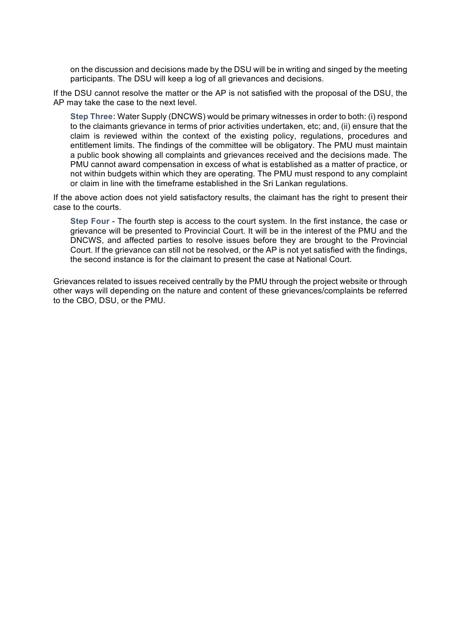on the discussion and decisions made by the DSU will be in writing and singed by the meeting participants. The DSU will keep a log of all grievances and decisions.

If the DSU cannot resolve the matter or the AP is not satisfied with the proposal of the DSU, the AP may take the case to the next level.

**Step Three:** Water Supply (DNCWS) would be primary witnesses in order to both: (i) respond to the claimants grievance in terms of prior activities undertaken, etc; and, (ii) ensure that the claim is reviewed within the context of the existing policy, regulations, procedures and entitlement limits. The findings of the committee will be obligatory. The PMU must maintain a public book showing all complaints and grievances received and the decisions made. The PMU cannot award compensation in excess of what is established as a matter of practice, or not within budgets within which they are operating. The PMU must respond to any complaint or claim in line with the timeframe established in the Sri Lankan regulations.

If the above action does not yield satisfactory results, the claimant has the right to present their case to the courts.

**Step Four** - The fourth step is access to the court system. In the first instance, the case or grievance will be presented to Provincial Court. It will be in the interest of the PMU and the DNCWS, and affected parties to resolve issues before they are brought to the Provincial Court. If the grievance can still not be resolved, or the AP is not yet satisfied with the findings, the second instance is for the claimant to present the case at National Court.

Grievances related to issues received centrally by the PMU through the project website or through other ways will depending on the nature and content of these grievances/complaints be referred to the CBO, DSU, or the PMU.